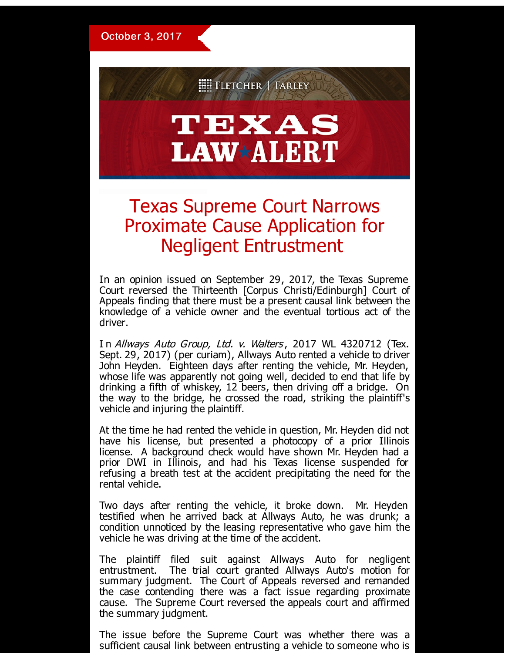## October 3, 2017



## Texas Supreme Court Narrows Proximate Cause Application for Negligent Entrustment

In an opinion issued on September 29, 2017, the Texas Supreme Court reversed the Thirteenth [Corpus Christi/Edinburgh] Court of Appeals finding that there must be a present causal link between the knowledge of a vehicle owner and the eventual tortious act of the driver.

In Allways Auto Group, Ltd. v. Walters, 2017 WL 4320712 (Tex. Sept. 29, 2017) (per curiam), Allways Auto rented a vehicle to driver John Heyden. Eighteen days after renting the vehicle, Mr. Heyden, whose life was apparently not going well, decided to end that life by drinking a fifth of whiskey, 12 beers, then driving off a bridge. On the way to the bridge, he crossed the road, striking the plaintiff's vehicle and injuring the plaintiff.

At the time he had rented the vehicle in question, Mr. Heyden did not have his license, but presented a photocopy of a prior Illinois license. A background check would have shown Mr. Heyden had a prior DWI in Illinois, and had his Texas license suspended for refusing a breath test at the accident precipitating the need for the rental vehicle.

Two days after renting the vehicle, it broke down. Mr. Heyden testified when he arrived back at Allways Auto, he was drunk; a condition unnoticed by the leasing representative who gave him the vehicle he was driving at the time of the accident.

The plaintiff filed suit against Allways Auto for negligent entrustment. The trial court granted Allways Auto's motion for summary judgment. The Court of Appeals reversed and remanded the case contending there was a fact issue regarding proximate cause. The Supreme Court reversed the appeals court and affirmed the summary judgment.

The issue before the Supreme Court was whether there was a sufficient causal link between entrusting a vehicle to someone who is